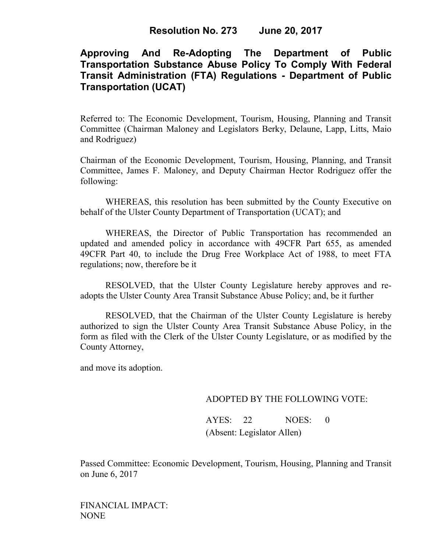## **Approving And Re-Adopting The Department of Public Transportation Substance Abuse Policy To Comply With Federal Transit Administration (FTA) Regulations - Department of Public Transportation (UCAT)**

Referred to: The Economic Development, Tourism, Housing, Planning and Transit Committee (Chairman Maloney and Legislators Berky, Delaune, Lapp, Litts, Maio and Rodriguez)

Chairman of the Economic Development, Tourism, Housing, Planning, and Transit Committee, James F. Maloney, and Deputy Chairman Hector Rodriguez offer the following:

WHEREAS, this resolution has been submitted by the County Executive on behalf of the Ulster County Department of Transportation (UCAT); and

WHEREAS, the Director of Public Transportation has recommended an updated and amended policy in accordance with 49CFR Part 655, as amended 49CFR Part 40, to include the Drug Free Workplace Act of 1988, to meet FTA regulations; now, therefore be it

RESOLVED, that the Ulster County Legislature hereby approves and readopts the Ulster County Area Transit Substance Abuse Policy; and, be it further

RESOLVED, that the Chairman of the Ulster County Legislature is hereby authorized to sign the Ulster County Area Transit Substance Abuse Policy, in the form as filed with the Clerk of the Ulster County Legislature, or as modified by the County Attorney,

and move its adoption.

## ADOPTED BY THE FOLLOWING VOTE:

AYES: 22 NOES: 0 (Absent: Legislator Allen)

Passed Committee: Economic Development, Tourism, Housing, Planning and Transit on June 6, 2017

FINANCIAL IMPACT: NONE